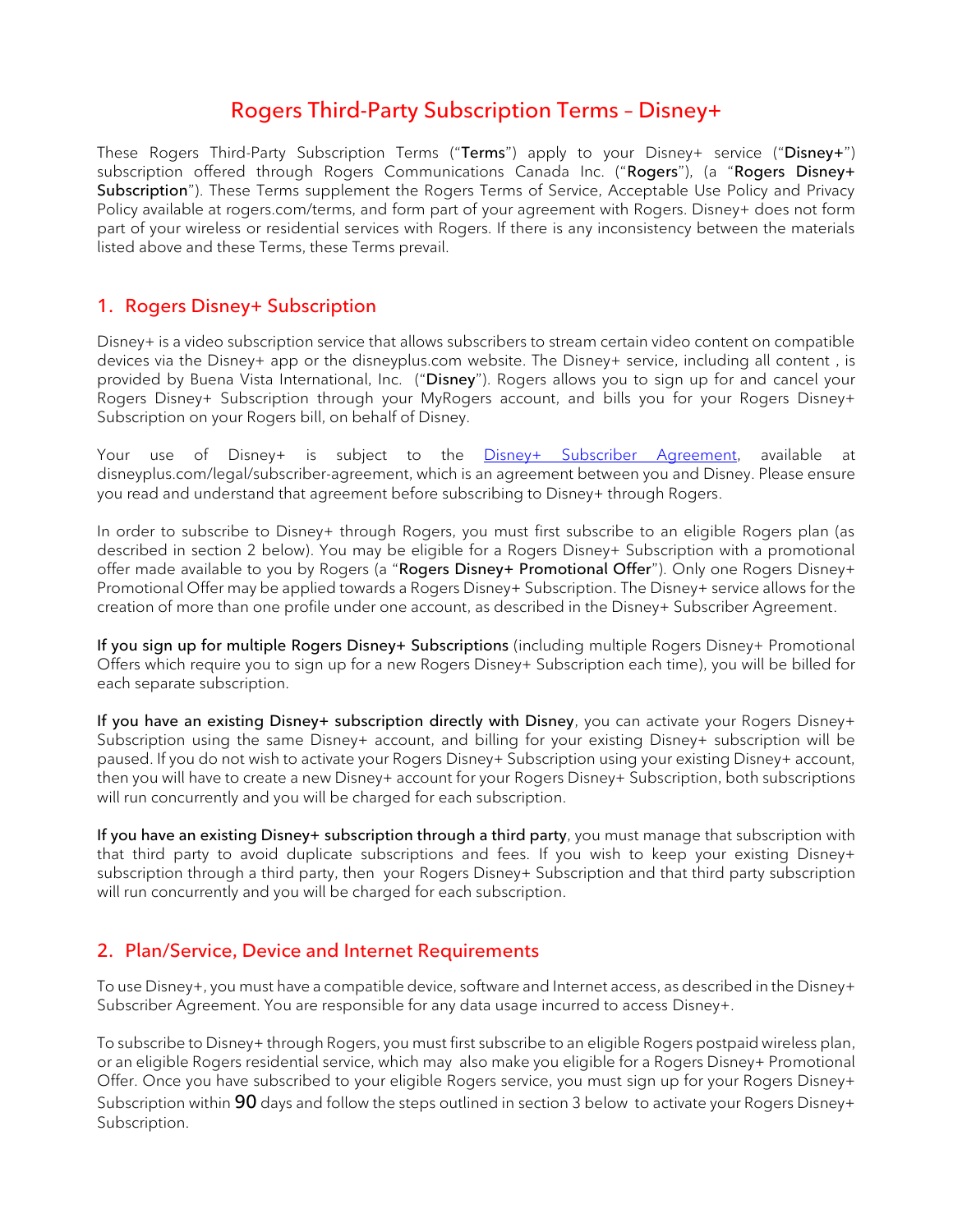# **Rogers Third-Party Subscription Terms – Disney+**

These Rogers Third-Party Subscription Terms ("**Terms**") apply to your Disney+ service ("**Disney+**") subscription offered through Rogers Communications Canada Inc. ("**Rogers**"), (a "**Rogers Disney+ Subscription**"). These Terms supplement the Rogers Terms of Service, Acceptable Use Policy and Privacy Policy available at rogers.com/terms, and form part of your agreement with Rogers. Disney+ does not form part of your wireless or residential services with Rogers. If there is any inconsistency between the materials listed above and these Terms, these Terms prevail.

# **1. Rogers Disney+ Subscription**

Disney+ is a video subscription service that allows subscribers to stream certain video content on compatible devices via the Disney+ app or the disneyplus.com website. The Disney+ service, including all content , is provided by Buena Vista International, Inc. ("**Disney**"). Rogers allows you to sign up for and cancel your Rogers Disney+ Subscription through your MyRogers account, and bills you for your Rogers Disney+ Subscription on your Rogers bill, on behalf of Disney.

Your use of Disney+ is subject to the [Disney+ Subscriber Agreement,](https://www.disneyplus.com/legal/subscriber-agreement) available at disneyplus.com/legal/subscriber-agreement, which is an agreement between you and Disney. Please ensure you read and understand that agreement before subscribing to Disney+ through Rogers.

In order to subscribe to Disney+ through Rogers, you must first subscribe to an eligible Rogers plan (as described in section 2 below). You may be eligible for a Rogers Disney+ Subscription with a promotional offer made available to you by Rogers (a "**Rogers Disney+ Promotional Offer**"). Only one Rogers Disney+ Promotional Offer may be applied towards a Rogers Disney+ Subscription. The Disney+ service allows for the creation of more than one profile under one account, as described in the Disney+ Subscriber Agreement.

**If you sign up for multiple Rogers Disney+ Subscriptions** (including multiple Rogers Disney+ Promotional Offers which require you to sign up for a new Rogers Disney+ Subscription each time), you will be billed for each separate subscription.

**If you have an existing Disney+ subscription directly with Disney**, you can activate your Rogers Disney+ Subscription using the same Disney+ account, and billing for your existing Disney+ subscription will be paused. If you do not wish to activate your Rogers Disney+ Subscription using your existing Disney+ account, then you will have to create a new Disney+ account for your Rogers Disney+ Subscription, both subscriptions will run concurrently and you will be charged for each subscription.

**If you have an existing Disney+ subscription through a third party**, you must manage that subscription with that third party to avoid duplicate subscriptions and fees. If you wish to keep your existing Disney+ subscription through a third party, then your Rogers Disney+ Subscription and that third party subscription will run concurrently and you will be charged for each subscription.

## **2. Plan/Service, Device and Internet Requirements**

To use Disney+, you must have a compatible device, software and Internet access, as described in the Disney+ Subscriber Agreement. You are responsible for any data usage incurred to access Disney+.

To subscribe to Disney+ through Rogers, you must first subscribe to an eligible Rogers postpaid wireless plan, or an eligible Rogers residential service, which may also make you eligible for a Rogers Disney+ Promotional Offer. Once you have subscribed to your eligible Rogers service, you must sign up for your Rogers Disney+ Subscription within **90** days and follow the steps outlined in section 3 below to activate your Rogers Disney+ Subscription.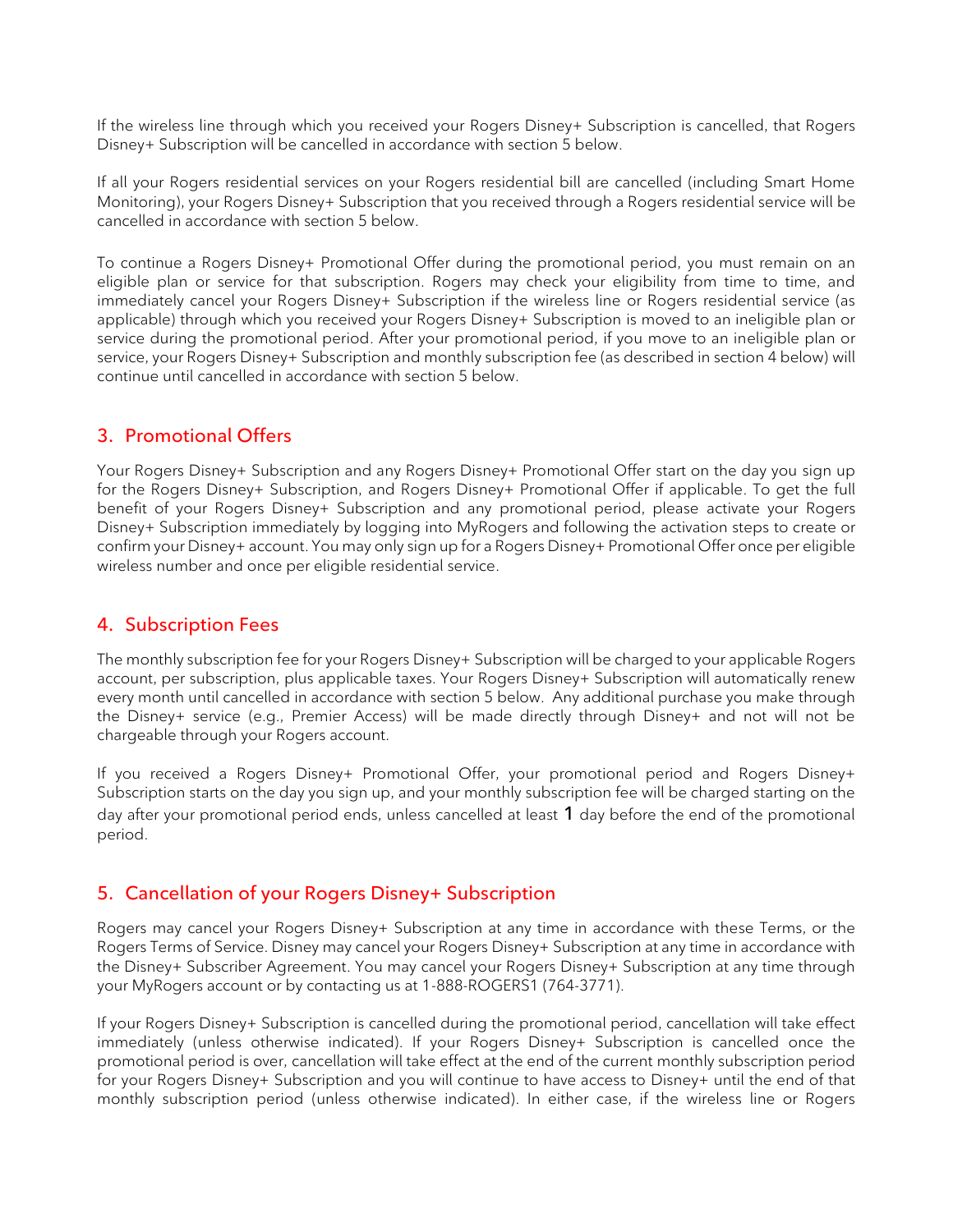If the wireless line through which you received your Rogers Disney+ Subscription is cancelled, that Rogers Disney+ Subscription will be cancelled in accordance with section 5 below.

If all your Rogers residential services on your Rogers residential bill are cancelled (including Smart Home Monitoring), your Rogers Disney+ Subscription that you received through a Rogers residential service will be cancelled in accordance with section 5 below.

To continue a Rogers Disney+ Promotional Offer during the promotional period, you must remain on an eligible plan or service for that subscription. Rogers may check your eligibility from time to time, and immediately cancel your Rogers Disney+ Subscription if the wireless line or Rogers residential service (as applicable) through which you received your Rogers Disney+ Subscription is moved to an ineligible plan or service during the promotional period. After your promotional period, if you move to an ineligible plan or service, your Rogers Disney+ Subscription and monthly subscription fee (as described in section 4 below) will continue until cancelled in accordance with section 5 below.

#### **3. Promotional Offers**

Your Rogers Disney+ Subscription and any Rogers Disney+ Promotional Offer start on the day you sign up for the Rogers Disney+ Subscription, and Rogers Disney+ Promotional Offer if applicable. To get the full benefit of your Rogers Disney+ Subscription and any promotional period, please activate your Rogers Disney+ Subscription immediately by logging into MyRogers and following the activation steps to create or confirm your Disney+ account. You may only sign up for a Rogers Disney+ Promotional Offer once per eligible wireless number and once per eligible residential service.

## **4. Subscription Fees**

The monthly subscription fee for your Rogers Disney+ Subscription will be charged to your applicable Rogers account, per subscription, plus applicable taxes. Your Rogers Disney+ Subscription will automatically renew every month until cancelled in accordance with section 5 below. Any additional purchase you make through the Disney+ service (e.g., Premier Access) will be made directly through Disney+ and not will not be chargeable through your Rogers account.

If you received a Rogers Disney+ Promotional Offer, your promotional period and Rogers Disney+ Subscription starts on the day you sign up, and your monthly subscription fee will be charged starting on the day after your promotional period ends, unless cancelled at least **1** day before the end of the promotional period.

#### **5. Cancellation of your Rogers Disney+ Subscription**

Rogers may cancel your Rogers Disney+ Subscription at any time in accordance with these Terms, or the Rogers Terms of Service. Disney may cancel your Rogers Disney+ Subscription at any time in accordance with the Disney+ Subscriber Agreement. You may cancel your Rogers Disney+ Subscription at any time through your MyRogers account or by contacting us at 1-888-ROGERS1 (764-3771).

If your Rogers Disney+ Subscription is cancelled during the promotional period, cancellation will take effect immediately (unless otherwise indicated). If your Rogers Disney+ Subscription is cancelled once the promotional period is over, cancellation will take effect at the end of the current monthly subscription period for your Rogers Disney+ Subscription and you will continue to have access to Disney+ until the end of that monthly subscription period (unless otherwise indicated). In either case, if the wireless line or Rogers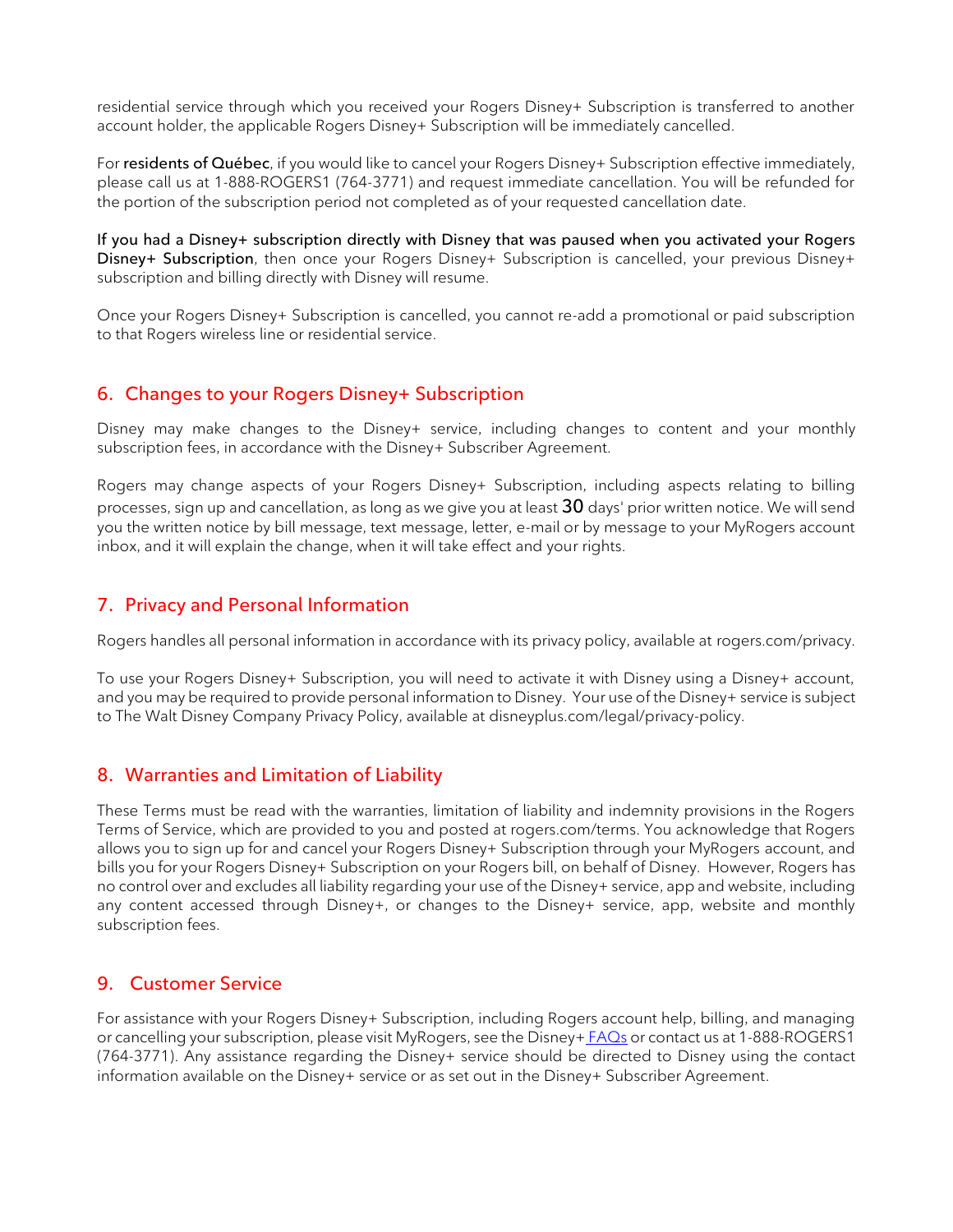residential service through which you received your Rogers Disney+ Subscription is transferred to another account holder, the applicable Rogers Disney+ Subscription will be immediately cancelled.

For **residents of Québec**, if you would like to cancel your Rogers Disney+ Subscription effective immediately, please call us at 1-888-ROGERS1 (764-3771) and request immediate cancellation. You will be refunded for the portion of the subscription period not completed as of your requested cancellation date.

**If you had a Disney+ subscription directly with Disney that was paused when you activated your Rogers Disney+ Subscription**, then once your Rogers Disney+ Subscription is cancelled, your previous Disney+ subscription and billing directly with Disney will resume.

Once your Rogers Disney+ Subscription is cancelled, you cannot re-add a promotional or paid subscription to that Rogers wireless line or residential service.

# **6. Changes to your Rogers Disney+ Subscription**

Disney may make changes to the Disney+ service, including changes to content and your monthly subscription fees, in accordance with the Disney+ Subscriber Agreement.

Rogers may change aspects of your Rogers Disney+ Subscription, including aspects relating to billing processes, sign up and cancellation, as long as we give you at least **30** days' prior written notice. We will send you the written notice by bill message, text message, letter, e-mail or by message to your MyRogers account inbox, and it will explain the change, when it will take effect and your rights.

# **7. Privacy and Personal Information**

Rogers handles all personal information in accordance with its privacy policy, available at rogers.com/privacy.

To use your Rogers Disney+ Subscription, you will need to activate it with Disney using a Disney+ account, and you may be required to provide personal information to Disney. Your use of the Disney+ service is subject to The Walt Disney Company Privacy Policy, available at disneyplus.com/legal/privacy-policy.

## **8. Warranties and Limitation of Liability**

These Terms must be read with the warranties, limitation of liability and indemnity provisions in the Rogers Terms of Service, which are provided to you and posted at rogers.com/terms. You acknowledge that Rogers allows you to sign up for and cancel your Rogers Disney+ Subscription through your MyRogers account, and bills you for your Rogers Disney+ Subscription on your Rogers bill, on behalf of Disney. However, Rogers has no control over and excludes all liability regarding your use of the Disney+ service, app and website, including any content accessed through Disney+, or changes to the Disney+ service, app, website and monthly subscription fees.

## **9. Customer Service**

For assistance with your Rogers Disney+ Subscription, including Rogers account help, billing, and managing or cancelling your subscription, please visit MyRogers, see the [Disney+](http://www.rogers.com/disney-plus-faqs) FAQs or contact us at 1-888-ROGERS1 (764-3771). Any assistance regarding the Disney+ service should be directed to Disney using the contact information available on the Disney+ service or as set out in the Disney+ Subscriber Agreement.